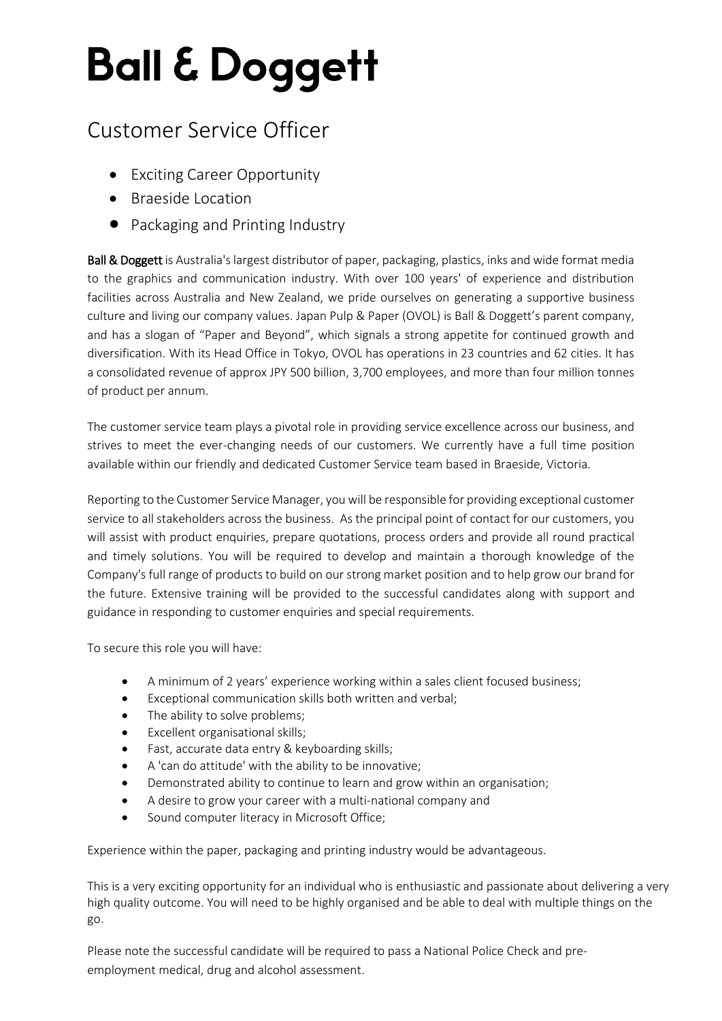## Customer Service Officer – Sales focused

## Customer Service Officer

- Exciting Career Opportunity
- Braeside Location
- Packaging and Printing Industry

Ball & Doggett is Australia's largest distributor of paper, packaging, plastics, inks and wide format media to the graphics and communication industry. With over 100 years' of experience and distribution facilities across Australia and New Zealand, we pride ourselves on generating a supportive business culture and living our company values. Japan Pulp & Paper (OVOL) is Ball & Doggett's parent company, and has a slogan of "Paper and Beyond", which signals a strong appetite for continued growth and diversification. With its Head Office in Tokyo, OVOL has operations in 23 countries and 62 cities. It has a consolidated revenue of approx JPY 500 billion, 3,700 employees, and more than four million tonnes of product per annum.

The customer service team plays a pivotal role in providing service excellence across our business, and strives to meet the ever-changing needs of our customers. We currently have a full time position available within our friendly and dedicated Customer Service team based in Braeside, Victoria.

Reporting to the Customer Service Manager, you will be responsible for providing exceptional customer service to all stakeholders across the business. As the principal point of contact for our customers, you will assist with product enquiries, prepare quotations, process orders and provide all round practical and timely solutions. You will be required to develop and maintain a thorough knowledge of the Company's full range of products to build on our strong market position and to help grow our brand for the future. Extensive training will be provided to the successful candidates along with support and guidance in responding to customer enquiries and special requirements.

To secure this role you will have:

- A minimum of 2 years' experience working within a sales client focused business;
- Exceptional communication skills both written and verbal;
- The ability to solve problems;
- Excellent organisational skills;
- Fast, accurate data entry & keyboarding skills;
- A 'can do attitude' with the ability to be innovative;
- Demonstrated ability to continue to learn and grow within an organisation;
- A desire to grow your career with a multi-national company and
- Sound computer literacy in Microsoft Office;

Experience within the paper, packaging and printing industry would be advantageous.

This is a very exciting opportunity for an individual who is enthusiastic and passionate about delivering a very high quality outcome. You will need to be highly organised and be able to deal with multiple things on the go.

Please note the successful candidate will be required to pass a National Police Check and preemployment medical, drug and alcohol assessment.